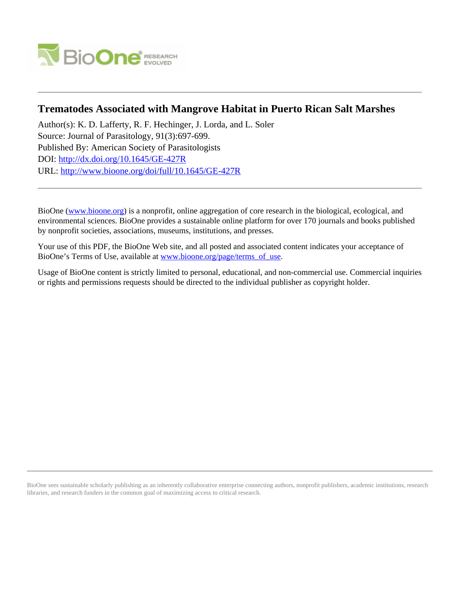

# **Trematodes Associated with Mangrove Habitat in Puerto Rican Salt Marshes**

Author(s): K. D. Lafferty, R. F. Hechinger, J. Lorda, and L. Soler Source: Journal of Parasitology, 91(3):697-699. Published By: American Society of Parasitologists DOI:<http://dx.doi.org/10.1645/GE-427R> URL: <http://www.bioone.org/doi/full/10.1645/GE-427R>

BioOne [\(www.bioone.org\)](http://www.bioone.org) is a nonprofit, online aggregation of core research in the biological, ecological, and environmental sciences. BioOne provides a sustainable online platform for over 170 journals and books published by nonprofit societies, associations, museums, institutions, and presses.

Your use of this PDF, the BioOne Web site, and all posted and associated content indicates your acceptance of BioOne's Terms of Use, available at [www.bioone.org/page/terms\\_of\\_use.](http://www.bioone.org/page/terms_of_use)

Usage of BioOne content is strictly limited to personal, educational, and non-commercial use. Commercial inquiries or rights and permissions requests should be directed to the individual publisher as copyright holder.

BioOne sees sustainable scholarly publishing as an inherently collaborative enterprise connecting authors, nonprofit publishers, academic institutions, research libraries, and research funders in the common goal of maximizing access to critical research.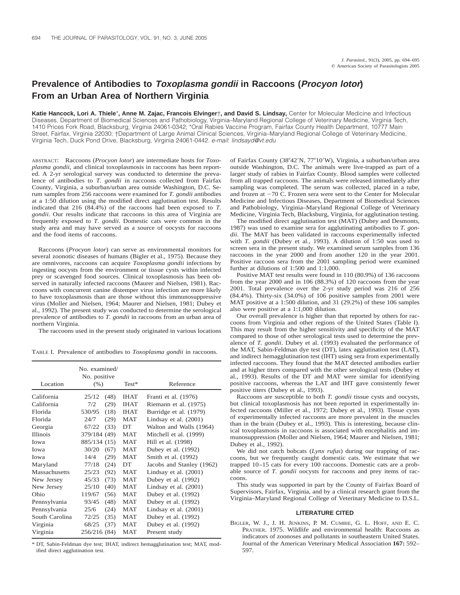## **Prevalence of Antibodies to Toxoplasma gondii in Raccoons (Procyon lotor) From an Urban Area of Northern Virginia**

**Katie Hancock, Lori A. Thiele**\***, Anne M. Zajac, Francois Elvinger**†**, and David S. Lindsay,** Center for Molecular Medicine and Infectious Diseases, Department of Biomedical Sciences and Pathobiology, Virginia–Maryland Regional College of Veterinary Medicine, Virginia Tech, 1410 Prices Fork Road, Blacksburg, Virginia 24061-0342; \*Oral Rabies Vaccine Program, Fairfax County Health Department, 10777 Main Street, Fairfax, Virginia 22030; †Department of Large Animal Clinical Sciences, Virginia–Maryland Regional College of Veterinary Medicine, Virginia Tech, Duck Pond Drive, Blacksburg, Virginia 24061-0442. e-mail: lindsayd@vt.edu

ABSTRACT: Raccoons (*Procyon lotor*) are intermediate hosts for *Toxoplasma gondii*, and clinical toxoplasmosis in raccoons has been reported. A 2-yr serological survey was conducted to determine the prevalence of antibodies to *T. gondii* in raccoons collected from Fairfax County, Virginia, a suburban/urban area outside Washington, D.C. Serum samples from 256 raccoons were examined for *T. gondii* antibodies at a 1:50 dilution using the modified direct agglutination test. Results indicated that 216 (84.4%) of the raccoons had been exposed to *T. gondii*. Our results indicate that raccoons in this area of Virginia are frequently exposed to *T. gondii*. Domestic cats were common in the study area and may have served as a source of oocysts for raccoons and the food items of raccoons.

Raccoons (*Procyon lotor*) can serve as environmental monitors for several zoonotic diseases of humans (Bigler et al., 1975). Because they are omnivores, raccoons can acquire *Toxoplasma gondii* infections by ingesting oocysts from the environment or tissue cysts within infected prey or scavenged food sources. Clinical toxoplasmosis has been observed in naturally infected raccoons (Maurer and Nielsen, 1981). Raccoons with concurrent canine distemper virus infection are more likely to have toxoplasmosis than are those without this immunosuppressive virus (Moller and Nielsen, 1964; Maurer and Nielsen, 1981; Dubey et al., 1992). The present study was conducted to determine the serological prevalence of antibodies to *T. gondii* in raccoons from an urban area of northern Virginia.

The raccoons used in the present study originated in various locations

TABLE I. Prevalence of antibodies to *Toxoplasma gondii* in raccoons.

| Location        | No. examined/<br>No. positive<br>$(\% )$ | Test*       | Reference                 |
|-----------------|------------------------------------------|-------------|---------------------------|
| California      | 25/12<br>(48)                            | <b>IHAT</b> | Franti et al. (1976)      |
| California      | 7/2<br>(29)                              | <b>IHAT</b> | Riemann et al. (1975)     |
| Florida         | 530/95<br>(18)                           | <b>IHAT</b> | Burridge et al. (1979)    |
| Florida         | 24/7<br>(29)                             | <b>MAT</b>  | Lindsay et al. $(2001)$   |
| Georgia         | (33)<br>67/22                            | DT          | Walton and Walls (1964)   |
| <b>Illinois</b> | 379/184 (49)                             | <b>MAT</b>  | Mitchell et al. (1999)    |
| Iowa            | 885/134 (15)                             | <b>MAT</b>  | Hill et al. (1998)        |
| Iowa            | 30/20<br>(67)                            | <b>MAT</b>  | Dubey et al. $(1992)$     |
| Iowa            | 14/4<br>(29)                             | <b>MAT</b>  | Smith et al. (1992)       |
| Maryland        | 77/18<br>(24)                            | DT          | Jacobs and Stanley (1962) |
| Massachusetts   | 25/23<br>(92)                            | <b>MAT</b>  | Lindsay et al. $(2001)$   |
| New Jersey      | 45/33<br>(73)                            | <b>MAT</b>  | Dubey et al. (1992)       |
| New Jersey      | 25/10<br>(40)                            | <b>MAT</b>  | Lindsay et al. $(2001)$   |
| Ohio            | 119/67<br>(56)                           | <b>MAT</b>  | Dubey et al. $(1992)$     |
| Pennsylvania    | 93/45<br>(48)                            | <b>MAT</b>  | Dubey et al. (1992)       |
| Pennsylvania    | 25/6<br>(24)                             | <b>MAT</b>  | Lindsay et al. $(2001)$   |
| South Carolina  | 72/25<br>(35)                            | <b>MAT</b>  | Dubey et al. $(1992)$     |
| Virginia        | 68/25<br>(37)                            | MAT         | Dubey et al. $(1992)$     |
| Virginia        | 256/216 (84)                             | MAT         | Present study             |

\* DT, Sabin-Feldman dye test; IHAT, indirect hemagglutination test; MAT, modified direct agglutination test.

of Fairfax County (38°42'N, 77°10'W), Virginia, a suburban/urban area outside Washington, D.C. The animals were live-trapped as part of a larger study of rabies in Fairfax County. Blood samples were collected from all trapped raccoons. The animals were released immediately after sampling was completed. The serum was collected, placed in a tube, and frozen at  $-70$  C. Frozen sera were sent to the Center for Molecular Medicine and Infectious Diseases, Department of Biomedical Sciences and Pathobiology, Virginia–Maryland Regional College of Veterinary Medicine, Virginia Tech, Blacksburg, Virginia, for agglutination testing.

The modified direct agglutination test (MAT) (Dubey and Desmonts, 1987) was used to examine sera for agglutinating antibodies to *T. gondii*. The MAT has been validated in raccoons experimentally infected with *T. gondii* (Dubey et al., 1993). A dilution of 1:50 was used to screen sera in the present study. We examined serum samples from 136 raccoons in the year 2000 and from another 120 in the year 2001. Positive raccoon sera from the 2001 sampling period were examined further at dilutions of 1:500 and 1:1,000.

Positive MAT test results were found in 110 (80.9%) of 136 raccoons from the year 2000 and in 106 (88.3%) of 120 raccoons from the year 2001. Total prevalence over the 2-yr study period was 216 of 256 (84.4%). Thirty-six (34.0%) of 106 positive samples from 2001 were MAT positive at a 1:500 dilution, and 31 (29.2%) of these 106 samples also were positive at a 1:1,000 dilution.

Our overall prevalence is higher than that reported by others for raccoons from Virginia and other regions of the United States (Table I). This may result from the higher sensitivity and specificity of the MAT compared to those of other serological tests used to determine the prevalence of *T. gondii*. Dubey et al. (1993) evaluated the performance of the MAT, Sabin-Feldman dye test (DT), latex agglutination test (LAT), and indirect hemagglutination test (IHT) using sera from experimentally infected raccoons. They found that the MAT detected antibodies earlier and at higher titers compared with the other serological tests (Dubey et al., 1993). Results of the DT and MAT were similar for identifying positive raccoons, whereas the LAT and IHT gave consistently fewer positive titers (Dubey et al., 1993).

Raccoons are susceptible to both *T. gondii* tissue cysts and oocysts, but clinical toxoplasmosis has not been reported in experimentally infected raccoons (Miller et al., 1972; Dubey et al., 1993). Tissue cysts of experimentally infected raccoons are more prevalent in the muscles than in the brain (Dubey et al., 1993). This is interesting, because clinical toxoplasmosis in raccoons is associated with encephalitis and immunosuppression (Moller and Nielsen, 1964; Maurer and Nielsen, 1981; Dubey et al., 1992).

We did not catch bobcats (*Lynx rufus*) during our trapping of raccoons, but we frequently caught domestic cats. We estimate that we trapped 10–15 cats for every 100 raccoons. Domestic cats are a probable source of *T. gondii* oocysts for raccoons and prey items of raccoons.

This study was supported in part by the County of Fairfax Board of Supervisors, Fairfax, Virginia, and by a clinical research grant from the Virginia–Maryland Regional College of Veterinary Medicine to D.S.L.

#### **LITERATURE CITED**

BIGLER, W. J., J. H. JENKINS, P. M. CUMBIE, G. L. HOFF, AND E. C. PRATHER. 1975. Wildlife and environmental health: Raccoons as indicators of zoonoses and pollutants in southeastern United States. Journal of the American Veterinary Medical Association **167:** 592– 597.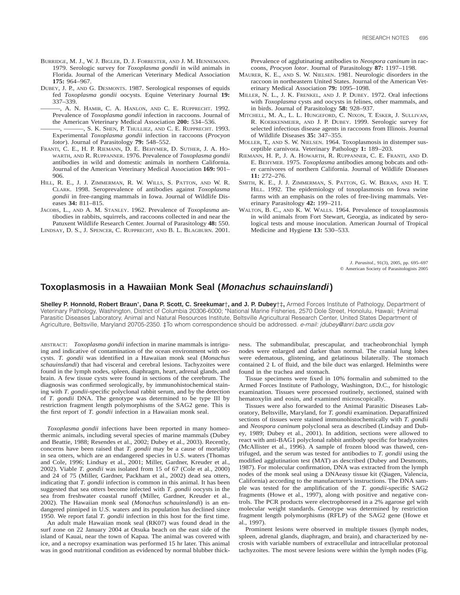- BURRIDGE, M. J., W. J. BIGLER, D. J. FORRESTER, AND J. M. HENNEMANN. 1979. Serologic survey for *Toxoplasma gondii* in wild animals in Florida. Journal of the American Veterinary Medical Association **175:** 964–967.
- DUBEY, J. P., AND G. DESMONTS. 1987. Serological responses of equids fed *Toxoplasma gondii* oocysts. Equine Veterinary Journal **19:** 337–339.
	- ———, A. N. HAMIR, C. A. HANLON, AND C. E. RUPPRECHT. 1992. Prevalence of *Toxoplasma gondii* infection in raccoons. Journal of the American Veterinary Medical Association **200:** 534–536.
- ———, ———, S. K. SHEN, P. THULLIEZ, AND C. E. RUPPRECHT. 1993. Experimental *Toxoplasma gondii* infection in raccoons (*Procyon lotor*). Journal of Parasitology **79:** 548–552.
- FRANTI, C. E., H. P. RIEMANN, D. E. BEHYMER, D. SUTHER, J. A. HO-WARTH, AND R. RUPPANNER. 1976. Prevalence of *Toxoplasma gondii* antibodies in wild and domestic animals in northern California. Journal of the American Veterinary Medical Association **169:** 901– 906.
- HILL, R. E., J. J. ZIMMERMAN, R. W. WILLS, S. PATTON, AND W. R. CLARK. 1998. Seroprevalence of antibodies against *Toxoplasma gondii* in free-ranging mammals in Iowa. Journal of Wildlife Diseases **34:** 811–815.
- JACOBS, L., AND A. M. STANLEY. 1962. Prevalence of *Toxoplasma* antibodies in rabbits, squirrels, and raccoons collected in and near the Patuxent Wildlife Research Center. Journal of Parasitology **48:** 550.

LINDSAY, D. S., J. SPENCER, C. RUPPRECHT, AND B. L. BLAGBURN. 2001.

Prevalence of agglutinating antibodies to *Neospora caninum* in raccoons, *Procyon lotor*. Journal of Parasitology **87:** 1197–1198.

- MAURER, K. E., AND S. W. NIELSEN. 1981. Neurologic disorders in the raccoon in northeastern United States. Journal of the American Veterinary Medical Association **79:** 1095–1098.
- MILLER, N. L., J. K. FRENKEL, AND J. P. DUBEY. 1972. Oral infections with *Toxoplasma* cysts and oocysts in felines, other mammals, and in birds. Journal of Parasitology **58:** 928–937.
- MITCHELL, M. A., L. L. HUNGEFORD, C. NIXON, T. ESKER, J. SULLIVAN, R. KOERKENMEIER, AND J. P. DUBEY. 1999. Serologic survey for selected infectious disease agents in raccoons from Illinois. Journal of Wildlife Diseases **35:** 347–355.
- MOLLER, T., AND S. W. NIELSEN. 1964. Toxoplasmosis in distemper susceptible carnivora. Veterinary Pathology **1:** 189–203.
- RIEMANN, H. P., J. A. HOWARTH, R. RUPPANNER, C. E. FRANTI, AND D. E. BEHYMER. 1975. *Toxoplasma* antibodies among bobcats and other carnivores of northern California. Journal of Wildlife Diseases **11:** 272–276.
- SMITH, K. E., J. J. ZIMMERMAN, S. PATTON, G. W. BERAN, AND H. T. HILL. 1992. The epidemiology of toxoplasmosis on Iowa swine farms with an emphasis on the roles of free-living mammals. Veterinary Parasitology **42:** 199–211.
- WALTON, B. C., AND K. W. WALLS. 1964. Prevalence of toxoplasmosis in wild animals from Fort Stewart, Georgia, as indicated by serological tests and mouse inoculation. American Journal of Tropical Medicine and Hygiene **13:** 530–533.

*J. Parasitol.,* 91(3), 2005, pp. 695–697  $©$  American Society of Parasitologists 2005

### **Toxoplasmosis in a Hawaiian Monk Seal (Monachus schauinslandi )**

**Shelley P. Honnold, Robert Braun**\***, Dana P. Scott, C. Sreekumar**†**, and J. P. Dubey**†‡**,** Armed Forces Institute of Pathology, Department of Veterinary Pathology, Washington, District of Columbia 20306-6000; \*National Marine Fisheries, 2570 Dole Street, Honolulu, Hawaii; †Animal Parasitic Diseases Laboratory, Animal and Natural Resources Institute, Beltsville Agricultural Research Center, United States Department of Agriculture, Beltsville, Maryland 20705-2350. ‡To whom correspondence should be addressed. e-mail: jdubey@anri.barc.usda.gov

ABSTRACT: *Toxoplasma gondii* infection in marine mammals is intriguing and indicative of contamination of the ocean environment with oocysts. *T. gondii* was identified in a Hawaiian monk seal (*Monachus schauinslandi*) that had visceral and cerebral lesions. Tachyzoites were found in the lymph nodes, spleen, diaphragm, heart, adrenal glands, and brain. A few tissue cysts were found in sections of the cerebrum. The diagnosis was confirmed serologically, by immunohistochemical staining with *T. gondii*-specific polyclonal rabbit serum, and by the detection of *T. gondii* DNA. The genotype was determined to be type III by restriction fragment length polymorphisms of the SAG2 gene. This is the first report of *T. gondii* infection in a Hawaiian monk seal.

*Toxoplasma gondii* infections have been reported in many homeothermic animals, including several species of marine mammals (Dubey and Beattie, 1988; Resendes et al., 2002; Dubey et al., 2003). Recently, concerns have been raised that *T. gondii* may be a cause of mortality in sea otters, which are an endangered species in U.S. waters (Thomas and Cole, 1996; Lindsay et al., 2001; Miller, Gardner, Kreuder et al., 2002). Viable *T. gondii* was isolated from 15 of 67 (Cole et al., 2000) and 24 of 75 (Miller, Gardner, Packham et al., 2002) dead sea otters, indicating that *T. gondii* infection is common in this animal. It has been suggested that sea otters become infected with *T. gondii* oocysts in the sea from freshwater coastal runoff (Miller, Gardner, Kreuder et al., 2002). The Hawaiian monk seal (*Monachus schauinslandi*) is an endangered pinniped in U.S. waters and its population has declined since 1950. We report fatal *T. gondii* infection in this host for the first time.

An adult male Hawaiian monk seal (RK07) was found dead in the surf zone on 22 January 2004 at Otsuka beach on the east side of the island of Kauai, near the town of Kapaa. The animal was covered with ice, and a necropsy examination was performed 15 hr later. This animal was in good nutritional condition as evidenced by normal blubber thickness. The submandibular, prescapular, and tracheobronchial lymph nodes were enlarged and darker than normal. The cranial lung lobes were edematous, glistening, and gelatinous bilaterally. The stomach contained 2 L of fluid, and the bile duct was enlarged. Helminths were found in the trachea and stomach.

Tissue specimens were fixed in 10% formalin and submitted to the Armed Forces Institute of Pathology, Washington, D.C., for histologic examination. Tissues were processed routinely, sectioned, stained with hematoxylin and eosin, and examined microscopically.

Tissues were also forwarded to the Animal Parasitic Diseases Laboratory, Beltsville, Maryland, for *T. gondii* examination. Deparaffinized sections of tissues were stained immunohistochemically with *T. gondii* and *Neospora caninum* polyclonal sera as described (Lindsay and Dubey, 1989; Dubey et al., 2001). In addition, sections were allowed to react with anti-BAG1 polyclonal rabbit antibody specific for bradyzoites (McAllister et al., 1996). A sample of frozen blood was thawed, centrifuged, and the serum was tested for antibodies to *T. gondii* using the modified agglutination test (MAT) as described (Dubey and Desmonts, 1987). For molecular confirmation, DNA was extracted from the lymph nodes of the monk seal using a DNAeasy tissue kit (Qiagen, Valencia, California) according to the manufacturer's instructions. The DNA sample was tested for the amplification of the *T. gondii*-specific SAG2 fragments (Howe et al., 1997), along with positive and negative controls. The PCR products were electrophoresed in a 2% agarose gel with molecular weight standards. Genotype was determined by restriction fragment length polymorphisms (RFLP) of the SAG2 gene (Howe et al., 1997).

Prominent lesions were observed in multiple tissues (lymph nodes, spleen, adrenal glands, diaphragm, and brain), and characterized by necrosis with variable numbers of extracellular and intracellular protozoal tachyzoites. The most severe lesions were within the lymph nodes (Fig.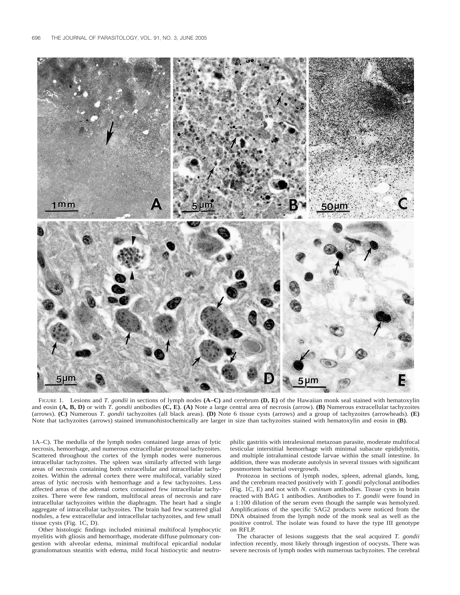

FIGURE 1. Lesions and *T. gondii* in sections of lymph nodes **(A–C)** and cerebrum **(D, E)** of the Hawaiian monk seal stained with hematoxylin and eosin **(A, B, D)** or with *T. gondii* antibodies **(C, E)**. **(A)** Note a large central area of necrosis (arrow). **(B)** Numerous extracellular tachyzoites (arrows). **(C)** Numerous *T. gondii* tachyzoites (all black areas). **(D)** Note 6 tissue cysts (arrows) and a group of tachyzoites (arrowheads). **(E)** Note that tachyzoites (arrows) stained immunohistochemically are larger in size than tachyzoites stained with hematoxylin and eosin in **(B)**.

1A–C). The medulla of the lymph nodes contained large areas of lytic necrosis, hemorrhage, and numerous extracellular protozoal tachyzoites. Scattered throughout the cortex of the lymph nodes were numerous intracellular tachyzoites. The spleen was similarly affected with large areas of necrosis containing both extracellular and intracellular tachyzoites. Within the adrenal cortex there were multifocal, variably sized areas of lytic necrosis with hemorrhage and a few tachyzoites. Less affected areas of the adrenal cortex contained few intracellular tachyzoites. There were few random, multifocal areas of necrosis and rare intracellular tachyzoites within the diaphragm. The heart had a single aggregate of intracellular tachyzoites. The brain had few scattered glial nodules, a few extracellular and intracellular tachyzoites, and few small tissue cysts (Fig. 1C, D).

Other histologic findings included minimal multifocal lymphocytic myelitis with gliosis and hemorrhage, moderate diffuse pulmonary congestion with alveolar edema, minimal multifocal epicardial nodular granulomatous steatitis with edema, mild focal histiocytic and neutrophilic gastritis with intralesional metazoan parasite, moderate multifocal testicular interstitial hemorrhage with minimal subacute epididymitis, and multiple intraluminal cestode larvae within the small intestine. In addition, there was moderate autolysis in several tissues with significant postmortem bacterial overgrowth.

Protozoa in sections of lymph nodes, spleen, adrenal glands, lung, and the cerebrum reacted positively with *T. gondii* polyclonal antibodies (Fig. 1C, E) and not with *N. caninum* antibodies. Tissue cysts in brain reacted with BAG 1 antibodies. Antibodies to *T. gondii* were found in a 1:100 dilution of the serum even though the sample was hemolyzed. Amplifications of the specific SAG2 products were noticed from the DNA obtained from the lymph node of the monk seal as well as the positive control. The isolate was found to have the type III genotype on RFLP.

The character of lesions suggests that the seal acquired *T. gondii* infection recently, most likely through ingestion of oocysts. There was severe necrosis of lymph nodes with numerous tachyzoites. The cerebral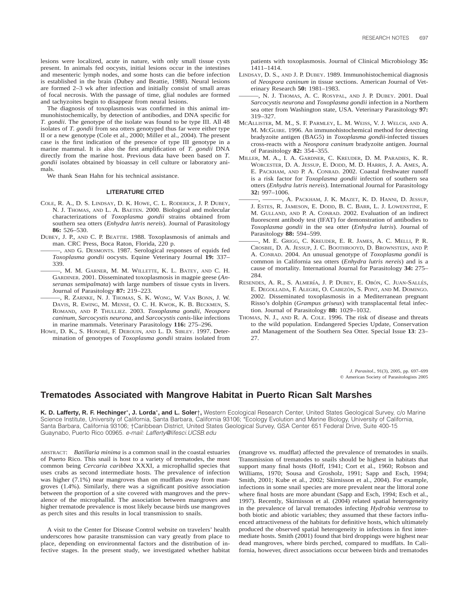lesions were localized, acute in nature, with only small tissue cysts present. In animals fed oocysts, initial lesions occur in the intestines and mesenteric lymph nodes, and some hosts can die before infection is established in the brain (Dubey and Beattie, 1988). Neural lesions are formed 2–3 wk after infection and initially consist of small areas of focal necrosis. With the passage of time, glial nodules are formed and tachyzoites begin to disappear from neural lesions.

The diagnosis of toxoplasmosis was confirmed in this animal immunohistochemically, by detection of antibodies, and DNA specific for *T. gondii*. The genotype of the isolate was found to be type III. All 48 isolates of *T. gondii* from sea otters genotyped thus far were either type II or a new genotype (Cole et al., 2000; Miller et al., 2004). The present case is the first indication of the presence of type III genotype in a marine mammal. It is also the first amplification of *T. gondii* DNA directly from the marine host. Previous data have been based on *T. gondii* isolates obtained by bioassay in cell culture or laboratory animals.

We thank Sean Hahn for his technical assistance.

#### **LITERATURE CITED**

- COLE, R. A., D. S. LINDSAY, D. K. HOWE, C. L. RODERICK, J. P. DUBEY, N. J. THOMAS, AND L. A. BAETEN. 2000. Biological and molecular characterizations of *Toxoplasma gondii* strains obtained from southern sea otters (*Enhydra lutris nereis*). Journal of Parasitology **86:** 526–530.
- DUBEY, J. P., AND C. P. BEATTIE. 1988. Toxoplasmosis of animals and man. CRC Press, Boca Raton, Florida, 220 p.
- ———, AND G. DESMONTS. 1987. Serological responses of equids fed *Toxoplasma gondii* oocysts. Equine Veterinary Journal **19:** 337– 339.
	- ———, M. M. GARNER, M. M. WILLETTE, K. L. BATEY, AND C. H. GARDINER. 2001. Disseminated toxoplasmosis in magpie geese (*Anseranas semipalmata*) with large numbers of tissue cysts in livers. Journal of Parasitology **87:** 219–223.
	- ———, R. ZARNKE, N. J. THOMAS, S. K. WONG, W. VAN BONN, J. W. DAVIS, R. EWING, M. MENSE, O. C. H. KWOK, K. B. BECKMEN, S. ROMAND, AND P. THULLIEZ. 2003. *Toxoplasma gondii*, *Neospora caninum*, *Sarcocystis neurona*, and *Sarcocystis canis*-like infections in marine mammals. Veterinary Parasitology **116:** 275–296.
- HOWE, D. K., S. HONORÉ, F. DEROUIN, AND L. D. SIBLEY. 1997. Determination of genotypes of *Toxoplasma gondii* strains isolated from

patients with toxoplasmosis. Journal of Clinical Microbiology **35:** 1411–1414.

LINDSAY, D. S., AND J. P. DUBEY. 1989. Immunohistochemical diagnosis of *Neospora caninum* in tissue sections. American Journal of Veterinary Research **50:** 1981–1983.

———, N. J. THOMAS, A. C. ROSYPAL, AND J. P. DUBEY. 2001. Dual *Sarcocystis neurona* and *Toxoplasma gondii* infection in a Northern sea otter from Washington state, USA. Veterinary Parasitology **97:** 319–327.

- MCALLISTER, M. M., S. F. PARMLEY, L. M. WEISS, V. J. WELCH, AND A. M. MCGUIRE. 1996. An immunohistochemical method for detecting bradyzoite antigen (BAG5) in *Toxoplasma gondii*-infected tissues cross-reacts with a *Neospora caninum* bradyzoite antigen. Journal of Parasitology **82:** 354–355.
- MILLER, M. A., I. A. GARDNER, C. KREUDER, D. M. PARADIES, K. R. WORCESTER, D. A. JESSUP, E. DODD, M. D. HARRIS, J. A. AMES, A. E. PACKHAM, AND P. A. CONRAD. 2002. Coastal freshwater runoff is a risk factor for *Toxoplasma gondii* infection of southern sea otters (*Enhydra lutris nereis*). International Journal for Parasitology **32:** 997–1006.
- -, A. PACKHAM, J. K. MAZET, K. D. HANNI, D. JESSUP, J. ESTES, R. JAMESON, E. DODD, B. C. BARR, L. J. LOWENSTINE, F. M. GULLAND, AND P. A. CONRAD. 2002. Evaluation of an indirect fluorescent antibody test (IFAT) for demonstration of antibodies to *Toxoplasma gondii* in the sea otter (*Enhydra lutris*). Journal of Parasitology **88:** 594–599.
- ———, M. E. GRIGG, C. KREUDER, E. R. JAMES, A. C. MELLI, P. R. CROSBIE, D. A. JESSUP, J. C. BOOTHROOYD, D. BROWNSTEIN, AND P. A. CONRAD. 2004. An unusual genotype of *Toxoplasma gondii* is common in California sea otters (*Enhydra lutris nereis*) and is a cause of mortality. International Journal for Parasitology **34:** 275– 284.
- RESENDES, A. R., S. ALMERÍA, J. P. DUBEY, E. OBÓN, C. JUAN-SALLÉS, E. DEGOLLADA, F. ALEGRE, O. CABEZÓN, S. PONT, AND M. DOMINGO. 2002. Disseminated toxoplasmosis in a Mediterranean pregnant Risso's dolphin (*Grampus griseus*) with transplacental fetal infection. Journal of Parasitology **88:** 1029–1032.
- THOMAS, N. J., AND R. A. COLE. 1996. The risk of disease and threats to the wild population. Endangered Species Update, Conservation and Management of the Southern Sea Otter. Special Issue **13**: 23– 27.

*J. Parasitol.,* 91(3), 2005, pp. 697–699  $©$  American Society of Parasitologists 2005

### **Trematodes Associated with Mangrove Habitat in Puerto Rican Salt Marshes**

**K. D. Lafferty, R. F. Hechinger**\***, J. Lorda**\***, and L. Soler**†**,** Western Ecological Research Center, United States Geological Survey, c/o Marine Science Institute, University of California, Santa Barbara, California 93106; \*Ecology Evolution and Marine Biology, University of California, Santa Barbara, California 93106; †Caribbean District, United States Geological Survey, GSA Center 651 Federal Drive, Suite 400-15 Guaynabo, Puerto Rico 00965. e-mail: Lafferty@lifesci.UCSB.edu

ABSTRACT: *Batillaria minima* is a common snail in the coastal estuaries of Puerto Rico. This snail is host to a variety of trematodes, the most common being *Cercaria caribbea* XXXI, a microphallid species that uses crabs as second intermediate hosts. The prevalence of infection was higher (7.1%) near mangroves than on mudflats away from mangroves (1.4%). Similarly, there was a significant positive association between the proportion of a site covered with mangroves and the prevalence of the microphallid. The association between mangroves and higher trematode prevalence is most likely because birds use mangroves as perch sites and this results in local transmission to snails.

A visit to the Center for Disease Control website on travelers' health underscores how parasite transmission can vary greatly from place to place, depending on environmental factors and the distribution of infective stages. In the present study, we investigated whether habitat (mangrove vs. mudflat) affected the prevalence of trematodes in snails. Transmission of trematodes to snails should be highest in habitats that support many final hosts (Hoff, 1941; Cort et al., 1960; Robson and Williams, 1970; Sousa and Grosholz, 1991; Sapp and Esch, 1994; Smith, 2001; Kube et al., 2002; Skirnisson et al., 2004). For example, infections in some snail species are more prevalent near the littoral zone where final hosts are more abundant (Sapp and Esch, 1994; Esch et al., 1997). Recently, Skirnisson et al. (2004) related spatial heterogeneity in the prevalence of larval trematodes infecting *Hydrobia ventrosa* to both biotic and abiotic variables; they assumed that these factors influenced attractiveness of the habitats for definitive hosts, which ultimately produced the observed spatial heterogeneity in infections in first intermediate hosts. Smith (2001) found that bird droppings were highest near dead mangroves, where birds perched, compared to mudflats. In California, however, direct associations occur between birds and trematodes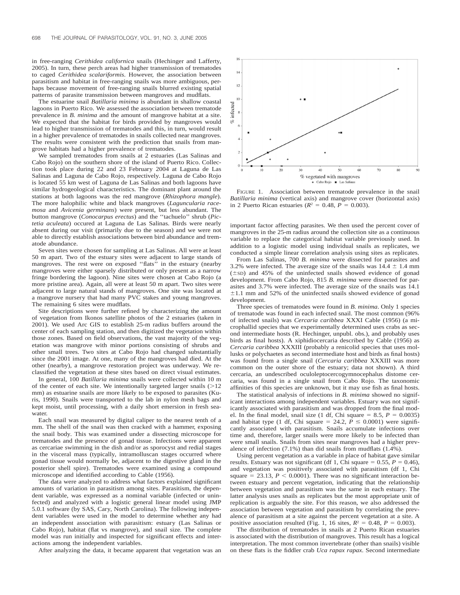in free-ranging *Cerithidea californica* snails (Hechinger and Lafferty, 2005). In turn, these perch areas had higher transmission of trematodes to caged *Cerithidea scalariformis*. However, the association between parasitism and habitat in free-ranging snails was more ambiguous, perhaps because movement of free-ranging snails blurred existing spatial patterns of parasite transmission between mangroves and mudflats.

The estuarine snail *Batillaria minima* is abundant in shallow coastal lagoons in Puerto Rico. We assessed the association between trematode prevalence in *B. minima* and the amount of mangrove habitat at a site. We expected that the habitat for birds provided by mangroves would lead to higher transmission of trematodes and this, in turn, would result in a higher prevalence of trematodes in snails collected near mangroves. The results were consistent with the prediction that snails from mangrove habitats had a higher prevalence of trematodes.

We sampled trematodes from snails at 2 estuaries (Las Salinas and Cabo Rojo) on the southern shore of the island of Puerto Rico. Collection took place during 22 and 23 February 2004 at Laguna de Las Salinas and Laguna de Cabo Rojo, respectively. Laguna de Cabo Rojo is located 55 km west of Laguna de Las Salinas and both lagoons have similar hydrogeological characteristics. The dominant plant around the stations at both lagoons was the red mangrove (*Rhizophora mangle*). The more halophilic white and black mangroves (*Laguncularia racemosa* and *Avicenia germinans*) were present, but less abundant. The button mangrove (*Conocarpus erectus*) and the ''tachuelo'' shrub (*Pictetia aculeata*) occured at Laguna de Las Salinas. Birds were nearly absent during our visit (primarily due to the season) and we were not able to directly establish associations between bird abundance and trematode abundance.

Seven sites were chosen for sampling at Las Salinas. All were at least 50 m apart. Two of the estuary sites were adjacent to large stands of mangroves. The rest were on exposed ''flats'' in the estuary (nearby mangroves were either sparsely distributed or only present as a narrow fringe bordering the lagoon). Nine sites were chosen at Cabo Rojo (a more pristine area). Again, all were at least 50 m apart. Two sites were adjacent to large natural stands of mangroves. One site was located at a mangrove nursery that had many PVC stakes and young mangroves. The remaining 6 sites were mudflats.

Site descriptions were further refined by characterizing the amount of vegetation from Ikonos satellite photos of the 2 estuaries (taken in 2001). We used Arc GIS to establish 25-m radius buffers around the center of each sampling station, and then digitized the vegetation within those zones. Based on field observations, the vast majority of the vegetation was mangrove with minor portions consisting of shrubs and other small trees. Two sites at Cabo Rojo had changed substantially since the 2001 image. At one, many of the mangroves had died. At the other (nearby), a mangrove restoration project was underway. We reclassified the vegetation at these sites based on direct visual estimates.

In general, 100 *Batillaria minima* snails were collected within 10 m of the center of each site. We intentionally targeted larger snails  $(>12$ mm) as estuarine snails are more likely to be exposed to parasites (Kuris, 1990). Snails were transported to the lab in nylon mesh bags and kept moist, until processing, with a daily short emersion in fresh seawater.

Each snail was measured by digital caliper to the nearest tenth of a mm. The shell of the snail was then cracked with a hammer, exposing the snail body. This was examined under a dissecting microscope for trematodes and the presence of gonad tissue. Infections were apparent as cercariae swimming in the dish and/or as sporocyst and redial stages in the visceral mass (typically, intramolluscan stages occurred where gonad tissue would normally be, adjacent to the digestive gland in the posterior shell spire). Trematodes were examined using a compound microscope and identified according to Cable (1956).

The data were analyzed to address what factors explained significant amounts of variation in parasitism among sites. Parasitism, the dependent variable, was expressed as a nominal variable (infected or uninfected) and analyzed with a logistic general linear model using JMP 5.0.1 software (by SAS, Cary, North Carolina). The following independent variables were used in the model to determine whether any had an independent association with parasitism: estuary (Las Salinas or Cabo Rojo), habitat (flat vs mangrove), and snail size. The complete model was run initially and inspected for significant effects and interactions among the independent variables.

After analyzing the data, it became apparent that vegetation was an



FIGURE 1. Association between trematode prevalence in the snail *Batillaria minima* (vertical axis) and mangrove cover (horizontal axis) in 2 Puerto Rican estuaries ( $R^2 = 0.48$ ,  $P = 0.003$ ).

important factor affecting parasites. We then used the percent cover of mangroves in the 25-m radius around the collection site as a continuous variable to replace the categorical habitat variable previously used. In addition to a logistic model using individual snails as replicates, we conducted a simple linear correlation analysis using sites as replicates.

From Las Salinas, 700 *B. minima* were dissected for parasites and 3.2% were infected. The average size of the snails was  $14.4 \pm 1.4$  mm  $(\pm sD)$  and 45% of the uninfected snails showed evidence of gonad development. From Cabo Rojo, 815 *B. minima* were dissected for parasites and 3.7% were infected. The average size of the snails was 14.1  $\pm 1.1$  mm and 52% of the uninfected snails showed evidence of gonad development.

Three species of trematodes were found in *B. minima*. Only 1 species of trematode was found in each infected snail. The most common (96% of infected snails) was *Cercaria caribbea* XXXI Cable (1956) (a microphallid species that we experimentally determined uses crabs as second intermediate hosts (R. Hechinger, unpubl. obs.), and probably uses birds as final hosts). A xiphidiocercaria described by Cable (1956) as *Cercaria caribbea* XXXIII (probably a renicolid species that uses mollusks or polychaetes as second intermediate host and birds as final hosts) was found from a single snail (*Cercaria caribbea* XXXIII was more common on the outer shore of the estuary; data not shown). A third cercaria, an undescribed oculoleptocercogymnocephalus distome cercaria, was found in a single snail from Cabo Rojo. The taxonomic affinities of this species are unknown, but it may use fish as final hosts.

The statistical analysis of infections in *B. minima* showed no significant interactions among independent variables. Estuary was not significantly associated with parasitism and was dropped from the final model. In the final model, snail size (1 df, Chi square  $= 8.5$ ,  $P = 0.0035$ ) and habitat type (1 df, Chi square = 24.2,  $P \le 0.0001$ ) were significantly associated with parasitism. Snails accumulate infections over time and, therefore, larger snails were more likely to be infected than were small snails. Snails from sites near mangroves had a higher prevalence of infection (7.1%) than did snails from mudflats (1.4%).

Using percent vegetation as a variable in place of habitat gave similar results. Estuary was not significant (df 1, Chi square  $= 0.55$ ,  $P = 0.46$ ), and vegetation was positively associated with parasitism (df 1, Chi square  $= 23.13$ ,  $P \le 0.0001$ ). There was no significant interaction between estuary and percent vegetation, indicating that the relationship between vegetation and parasitism was the same in each estuary. The latter analysis uses snails as replicates but the most appropriate unit of replication is arguably the site. For this reason, we also addressed the association between vegetation and parasitism by correlating the prevalence of parasitism at a site against the percent vegetation at a site. A positive association resulted (Fig. 1, 16 sites,  $R^2 = 0.48$ ,  $P = 0.003$ ).

The distribution of trematodes in snails at 2 Puerto Rican estuaries is associated with the distribution of mangroves. This result has a logical interpretation. The most common invertebrate (other than snails) visible on these flats is the fiddler crab *Uca rapax rapax.* Second intermediate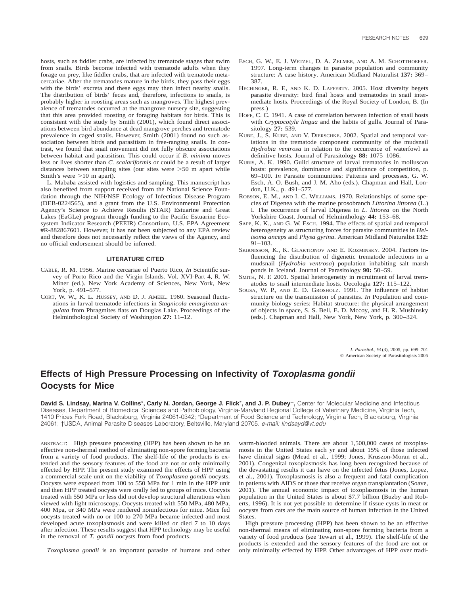hosts, such as fiddler crabs, are infected by trematode stages that swim from snails. Birds become infected with trematode adults when they forage on prey, like fiddler crabs, that are infected with trematode metacercariae. After the trematodes mature in the birds, they pass their eggs with the birds' excreta and these eggs may then infect nearby snails. The distribution of birds' feces and, therefore, infections to snails, is probably higher in roosting areas such as mangroves. The highest prevalence of trematodes occurred at the mangrove nursery site, suggesting that this area provided roosting or foraging habitats for birds. This is consistent with the study by Smith (2001), which found direct associations between bird abundance at dead mangrove perches and trematode prevalence in caged snails. However, Smith (2001) found no such association between birds and parasitism in free-ranging snails. In contrast, we found that snail movement did not fully obscure associations between habitat and parasitism. This could occur if *B. minima* moves less or lives shorter than *C. scalariformis* or could be a result of larger distances between sampling sites (our sites were  $>50$  m apart while Smith's were  $>10$  m apart).

L. Mababa assisted with logistics and sampling. This manuscript has also benefited from support received from the National Science Foundation through the NIH/NSF Ecology of Infectious Disease Program (DEB-0224565), and a grant from the U.S. Environmental Protection Agency's Science to Achieve Results (STAR) Estuarine and Great Lakes (EaGLe) program through funding to the Pacific Estuarine Ecosystem Indicator Research (PEEIR) Consortium, U.S. EPA Agreement #R-882867601. However, it has not been subjected to any EPA review and therefore does not necessarily reflect the views of the Agency, and no official endorsement should be inferred.

#### **LITERATURE CITED**

- CABLE, R. M. 1956. Marine cercariae of Puerto Rico, *In* Scientific survey of Porto Rico and the Virgin Islands. Vol. XVI-Part 4, R. W. Miner (ed.). New York Academy of Sciences, New York, New York, p. 491–577.
- CORT, W. W., K. L. HUSSEY, AND D. J. AMEEL. 1960. Seasonal fluctuations in larval trematode infections in *Stagnicola emarginata angulata* from Phragmites flats on Douglas Lake. Proceedings of the Helminthological Society of Washington **27:** 11–12.
- ESCH, G. W., E. J. WETZEL, D. A. ZELMER, AND A. M. SCHOTTHOEFER. 1997. Long-term changes in parasite population and community structure: A case history. American Midland Naturalist **137:** 369– 387.
- HECHINGER, R. F., AND K. D. LAFFERTY. 2005. Host diversity begets parasite diversity: bird final hosts and trematodes in snail intermediate hosts. Proceedings of the Royal Society of London, B. (In press.)
- HOFF, C. C. 1941. A case of correlation between infection of snail hosts with *Cryptocotyle lingua* and the habits of gulls. Journal of Parasitology **27:** 539.
- KUBE, J., S. KUBE, AND V. DIERSCHKE. 2002. Spatial and temporal variations in the trematode component community of the mudsnail *Hydrobia ventrosa* in relation to the occurrence of waterfowl as definitive hosts. Journal of Parasitology **88:** 1075–1086.
- KURIS, A. K. 1990. Guild structure of larval trematodes in molluscan hosts: prevalence, dominance and significance of competition, p. 69–100. *In* Parasite communities: Patterns and processes, G. W. Esch, A. O. Bush, and J. M. Aho (eds.). Chapman and Hall, London, U.K., p. 491–577.
- ROBSON, E. M., AND I. C. WILLIAMS. 1970. Relationships of some species of Digenea with the marine prosobranch *Littorina littorea* (L.) I. The occurrence of larval Digenea in *L. littorea* on the North Yorkshire Coast. Journal of Helminthology **44:** 153–68.
- SAPP, K. K., AND G. W. ESCH. 1994. The effects of spatial and temporal heterogeneity as structuring forces for parasite communities in *Helisoma anceps* and *Physa gyrina*. American Midland Naturalist **132:** 91–103.
- SKIRNISSON, K., K. GLAKTIONOV AND E. KOZMINSKY. 2004. Factors influencing the distribution of digenetic trematode infections in a mudsnail (*Hydrobia ventrosa*) population inhabiting salt marsh ponds in Iceland. Journal of Parasitology **90:** 50–59.
- SMITH, N. F. 2001. Spatial heterogeneity in recruitment of larval trematodes to snail intermediate hosts. Oecologia **127:** 115–122.
- SOUSA, W. P., AND E. D. GROSHOLZ. 1991. The influence of habitat structure on the transmission of parasites. *In* Population and community biology series: Habitat structure: the physical arrangement of objects in space, S. S. Bell, E. D. Mccoy, and H. R. Mushinsky (eds.). Chapman and Hall, New York, New York, p. 300–324.

*J. Parasitol.,* 91(3), 2005, pp. 699–701  $©$  American Society of Parasitologists 2005

## **Effects of High Pressure Processing on Infectivity of Toxoplasma gondii Oocysts for Mice**

**David S. Lindsay, Marina V. Collins**\***, Carly N. Jordan, George J. Flick**\***, and J. P. Dubey**†**,** Center for Molecular Medicine and Infectious Diseases, Department of Biomedical Sciences and Pathobiology, Virginia-Maryland Regional College of Veterinary Medicine, Virginia Tech, 1410 Prices Fork Road, Blacksburg, Virginia 24061-0342; \*Department of Food Science and Technology, Virginia Tech, Blacksburg, Virginia 24061; †USDA, Animal Parasite Diseases Laboratory, Beltsville, Maryland 20705. e-mail: lindsayd@vt.edu

ABSTRACT: High pressure processing (HPP) has been shown to be an effective non-thermal method of eliminating non-spore forming bacteria from a variety of food products. The shelf-life of the products is extended and the sensory features of the food are not or only minimally effected by HPP. The present study examined the effects of HPP using a commercial scale unit on the viability of *Toxoplasma gondii* oocysts. Oocysts were exposed from 100 to 550 MPa for 1 min in the HPP unit and then HPP treated oocysts were orally fed to groups of mice. Oocysts treated with 550 MPa or less did not develop structural alterations when viewed with light microscopy. Oocysts treated with 550 MPa, 480 MPa, 400 Mpa, or 340 MPa were rendered noninfectious for mice. Mice fed oocysts treated with no or 100 to 270 MPa became infected and most developed acute toxoplasmosis and were killed or died 7 to 10 days after infection. These results suggest that HPP technology may be useful in the removal of *T. gondii* oocysts from food products.

*Toxoplasma gondii* is an important parasite of humans and other

warm-blooded animals. There are about 1,500,000 cases of toxoplasmosis in the United States each yr and about 15% of those infected have clinical signs (Mead et al., 1999; Jones, Kruszon-Moran et al., 2001). Congenital toxoplasmosis has long been recognized because of the devastating results it can have on the infected fetus (Jones, Lopez, et al., 2001). Toxoplasmosis is also a frequent and fatal complication in patients with AIDS or those that receive organ transplantation (Soave, 2001). The annual economic impact of toxoplasmosis in the human population in the United States is about \$7.7 billion (Buzby and Roberts, 1996). It is not yet possible to determine if tissue cysts in meat or oocysts from cats are the main source of human infection in the United States.

High pressure processing (HPP) has been shown to be an effective non-thermal means of eliminating non-spore forming bacteria from a variety of food products (see Tewari et al., 1999). The shelf-life of the products is extended and the sensory features of the food are not or only minimally effected by HPP. Other advantages of HPP over tradi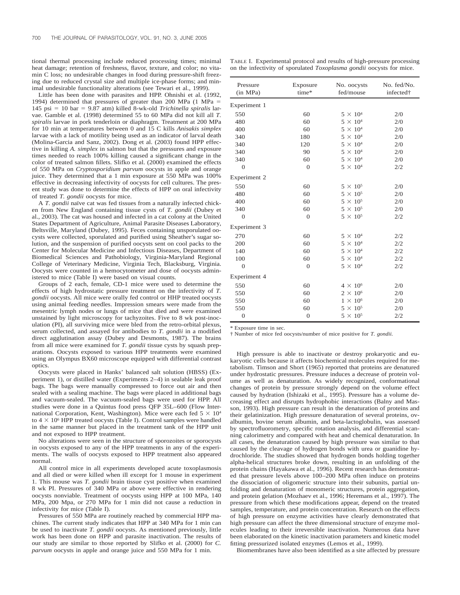tional thermal processing include reduced processing times; minimal heat damage; retention of freshness, flavor, texture, and color; no vitamin C loss; no undesirable changes in food during pressure-shift freezing due to reduced crystal size and multiple ice-phase forms; and minimal undesirable functionality alterations (see Tewari et al., 1999).

Little has been done with parasites and HPP. Ohnishi et al. (1992, 1994) determined that pressures of greater than 200 MPa  $(1 \text{ MPa} =$ 145 psi 5 10 bar 5 9.87 atm) killed 8-wk-old *Trichinella spiralis* larvae. Gamble et al. (1998) determined 55 to 60 MPa did not kill all *T. spiralis* larvae in pork tenderloin or diaphragm. Treatment at 200 MPa for 10 min at temperatures between 0 and 15 C kills *Anisakis simplex* larvae with a lack of motility being used as an indicator of larval death (Molina-Garcia and Sanz, 2002). Dong et al. (2003) found HPP effective in killing *A. simplex* in salmon but that the pressures and exposure times needed to reach 100% killing caused a significant change in the color of treated salmon fillets. Slifko et al. (2000) examined the effects of 550 MPa on *Cryptosporidium parvum* oocysts in apple and orange juice. They determined that a 1 min exposure at 550 MPa was 100% effective in decreasing infectivity of oocysts for cell cultures. The present study was done to determine the effects of HPP on oral infectivity of treated *T. gondii* oocysts for mice.

A *T. gondii* naïve cat was fed tissues from a naturally infected chicken from New England containing tissue cysts of *T. gondii* (Dubey et al., 2003). The cat was housed and infected in a cat colony at the United States Department of Agriculture, Animal Parasite Diseases Laboratory, Beltsville, Maryland (Dubey, 1995). Feces containing unsporulated oocysts were collected, sporulated and purified using Sheather's sugar solution, and the suspension of purified oocysts sent on cool packs to the Center for Molecular Medicine and Infectious Diseases, Department of Biomedical Sciences and Pathobiology, Virginia-Maryland Regional College of Veterinary Medicine, Virginia Tech, Blacksburg, Virginia. Oocysts were counted in a hemocytometer and dose of oocysts administered to mice (Table I) were based on visual counts.

Groups of 2 each, female, CD-1 mice were used to determine the effects of high hydrostatic pressure treatment on the infectivity of *T. gondii* oocysts. All mice were orally fed control or HHP treated oocysts using animal feeding needles. Impression smears were made from the mesentric lymph nodes or lungs of mice that died and were examined unstained by light microscopy for tachyzoites. Five to 8 wk post-inoculation (PI), all surviving mice were bled from the retro-orbital plexus, serum collected, and assayed for antibodies to *T. gondii* in a modified direct agglutination assay (Dubey and Desmonts, 1987). The brains from all mice were examined for *T. gondii* tissue cysts by squash preparations. Oocysts exposed to various HPP treatments were examined using an Olympus BX60 microscope equipped with differential contrast optics.

Oocysts were placed in Hanks' balanced salt solution (HBSS) (Experiment 1), or distilled water (Experiments 2–4) in sealable leak proof bags. The bags were manually compressed to force out air and then sealed with a sealing machine. The bags were placed in additional bags and vacuum-sealed. The vacuum-sealed bags were used for HPP. All studies were done in a Quintus food press QFP 35L–600 (Flow International Corporation, Kent, Washington). Mice were each fed  $5 \times 10^4$ to  $4 \times 10^6$  HPP treated oocysts (Table I). Control samples were handled in the same manner but placed in the treatment tank of the HPP unit and not exposed to HPP treatment.

No alterations were seen in the structure of sporozoites or sporocysts in oocysts exposed to any of the HPP treatments in any of the experiments. The walls of oocysts exposed to HPP treatment also appeared normal.

All control mice in all experiments developed acute toxoplasmosis and all died or were killed when ill except for 1 mouse in experiment 1. This mouse was *T. gondii* brain tissue cyst positive when examined 8 wk PI. Pressures of 340 MPa or above were effective in rendering oocysts nonviable. Treatment of oocysts using HPP at 100 MPa, 140 MPa, 200 Mpa, or 270 MPa for 1 min did not cause a reduction in infectivity for mice (Table I).

Pressures of 550 MPa are routinely reached by commercial HPP machines. The current study indicates that HPP at 340 MPa for 1 min can be used to inactivate *T. gondii* oocysts. As mentioned previously, little work has been done on HPP and parasite inactivation. The results of our study are similar to those reported by Slifko et al. (2000) for *C. parvum* oocysts in apple and orange juice and 550 MPa for 1 min.

| Pressure<br>(in MPa) | Exposure<br>time* | No. oocysts<br>fed/mouse | No. fed/No.<br>infected† |
|----------------------|-------------------|--------------------------|--------------------------|
| Experiment 1         |                   |                          |                          |
| 550                  | 60                | $5 \times 10^4$          | 2/0                      |
| 480                  | 60                | $5 \times 10^4$          | 2/0                      |
| 400                  | 60                | $5 \times 10^4$          | 2/0                      |
| 340                  | 180               | $5 \times 10^4$          | 2/0                      |
| 340                  | 120               | $5 \times 10^4$          | 2/0                      |
| 340                  | 90                | $5 \times 10^4$          | 2/0                      |
| 340                  | 60                | $5 \times 10^4$          | 2/0                      |
| $\overline{0}$       | $\Omega$          | $5 \times 10^4$          | 2/2                      |
| Experiment 2         |                   |                          |                          |
| 550                  | 60                | $5 \times 10^5$          | 2/0                      |
| 480                  | 60                | $5 \times 10^5$          | 2/0                      |
| 400                  | 60                | $5 \times 10^5$          | 2/0                      |
| 340                  | 60                | $5 \times 10^5$          | 2/0                      |
| $\overline{0}$       | $\theta$          | $5 \times 10^5$          | 2/2                      |
| Experiment 3         |                   |                          |                          |
| 270                  | 60                | $5 \times 10^4$          | 2/2                      |
| 200                  | 60                | $5 \times 10^4$          | 2/2                      |
| 140                  | 60                | $5 \times 10^4$          | 2/2                      |
| 100                  | 60                | $5 \times 10^4$          | 2/2                      |
| $\overline{0}$       | $\theta$          | $5 \times 10^4$          | 2/2                      |
| Experiment 4         |                   |                          |                          |
| 550                  | 60                | $4 \times 10^6$          | 2/0                      |
| 550                  | 60                | $2 \times 10^6$          | 2/0                      |
| 550                  | 60                | $1 \times 10^6$          | 2/0                      |
| 550                  | 60                | $5 \times 10^5$          | 2/0                      |
| $\boldsymbol{0}$     | $\theta$          | $5 \times 10^5$          | 2/2                      |

\* Exposure time in sec.

† Number of mice fed oocysts/number of mice positive for *T. gondii.*

High pressure is able to inactivate or destroy prokaryotic and eukaryotic cells because it affects biochemical molecules required for metabolism. Timson and Short (1965) reported that proteins are denatured under hydrostatic pressures. Pressure induces a decrease of protein volume as well as denaturation. As widely recognized, conformational changes of protein by pressure strongly depend on the volume effect caused by hydration (Ishizaki et al., 1995). Pressure has a volume decreasing effect and disrupts hydrophobic interactions (Balny and Masson, 1993). High pressure can result in the denaturation of proteins and their gelatinization. High pressure denaturation of several proteins, ovalbumin, bovine serum albumin, and beta-lactoglobulin, was assessed by spectrofluorometry, specific rotation analysis, and differential scanning calorimetry and compared with heat and chemical denaturation. In all cases, the denaturation caused by high pressure was similar to that caused by the cleavage of hydrogen bonds with urea or guanidine hydrochloride. The studies showed that hydrogen bonds holding together alpha-helical structures broke down, resulting in an unfolding of the protein chains (Hayakawa et al., 1996). Recent research has demonstrated that pressure levels above 100–200 MPa often induce on proteins the dissociation of oligomeric structure into their subunits, partial unfolding and denaturation of monomeric structures, protein aggregation, and protein gelation (Mozhaev et al., 1996; Heremans et al., 1997). The pressure from which these modifications appear, depend on the treated samples, temperature, and protein concentration. Research on the effects of high pressure on enzyme activities have clearly demonstrated that high pressure can affect the three dimensional structure of enzyme molecules leading to their irreversible inactivation. Numerous data have been elaborated on the kinetic inactivation parameters and kinetic model fitting pressurized isolated enzymes (Lemos et al., 1999).

Biomembranes have also been identified as a site affected by pressure

TABLE I. Experimental protocol and results of high-pressure processing on the infectivity of sporulated *Toxoplasma gondii* oocysts for mice.